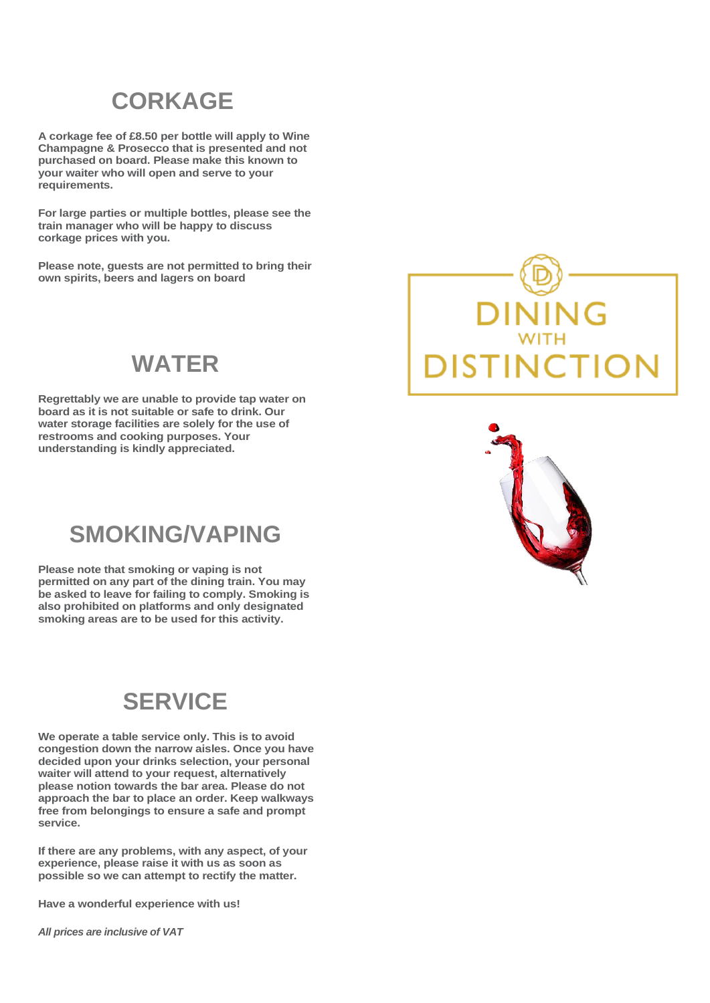### **CORKAGE**

**A corkage fee of £8.50 per bottle will apply to Wine Champagne & Prosecco that is presented and not purchased on board. Please make this known to your waiter who will open and serve to your requirements.** 

**For large parties or multiple bottles, please see the train manager who will be happy to discuss corkage prices with you.**

**Please note, guests are not permitted to bring their own spirits, beers and lagers on board**

### **WATER**

**Regrettably we are unable to provide tap water on board as it is not suitable or safe to drink. Our water storage facilities are solely for the use of restrooms and cooking purposes. Your understanding is kindly appreciated.**

### **SMOKING/VAPING**

**Please note that smoking or vaping is not permitted on any part of the dining train. You may be asked to leave for failing to comply. Smoking is also prohibited on platforms and only designated smoking areas are to be used for this activity.**

### **SERVICE**

**We operate a table service only. This is to avoid congestion down the narrow aisles. Once you have decided upon your drinks selection, your personal waiter will attend to your request, alternatively please notion towards the bar area. Please do not approach the bar to place an order. Keep walkways free from belongings to ensure a safe and prompt service.**

**If there are any problems, with any aspect, of your experience, please raise it with us as soon as possible so we can attempt to rectify the matter.**

**Have a wonderful experience with us!**

*All prices are inclusive of VAT*



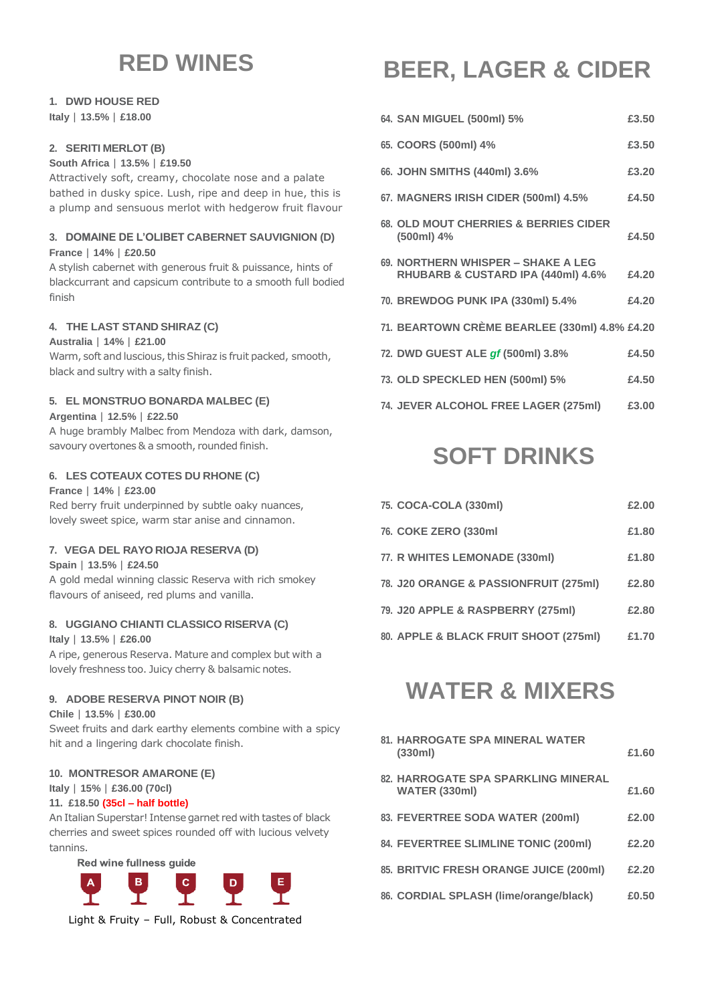### **RED WINES**

### **1. DWD HOUSE RED**

**Italy** | **13.5%** | **£18.00**

#### **2. SERITI MERLOT (B)**

**South Africa** | **13.5%** | **£19.50**

Attractively soft, creamy, chocolate nose and a palate bathed in dusky spice. Lush, ripe and deep in hue, this is a plump and sensuous merlot with hedgerow fruit flavour

#### **3. DOMAINE DE L'OLIBET CABERNET SAUVIGNION (D)**

#### **France** | **14%** | **£20.50**

A stylish cabernet with generous fruit & puissance, hints of blackcurrant and capsicum contribute to a smooth full bodied finish

#### **4. THE LAST STAND SHIRAZ (C)**

#### **Australia** | **14%** | **£21.00**

Warm, soft and luscious, this Shiraz is fruit packed, smooth, black and sultry with a salty finish.

#### **5. EL MONSTRUO BONARDA MALBEC (E)**

#### **Argentina** | **12.5%** | **£22.50**

A huge brambly Malbec from Mendoza with dark, damson, savoury overtones & a smooth, rounded finish.

#### **6. LES COTEAUX COTES DU RHONE (C)**

#### **France** | **14%** | **£23.00**

Red berry fruit underpinned by subtle oaky nuances, lovely sweet spice, warm star anise and cinnamon.

#### **7. VEGA DEL RAYO RIOJA RESERVA (D)**

#### **Spain** | **13.5%** | **£24.50**

A gold medal winning classic Reserva with rich smokey flavours of aniseed, red plums and vanilla.

#### **8. UGGIANO CHIANTI CLASSICO RISERVA (C)**

**Italy** | **13.5%** | **£26.00**

A ripe, generous Reserva. Mature and complex but with a lovely freshness too. Juicy cherry & balsamic notes.

#### **9. ADOBE RESERVA PINOT NOIR (B)**

#### **Chile** | **13.5%** | **£30.00**

Sweet fruits and dark earthy elements combine with a spicy hit and a lingering dark chocolate finish.

#### **10. MONTRESOR AMARONE (E)**

#### **Italy** | **15%** | **£36.00 (70cl)**

#### **11. £18.50 (35cl – half bottle)**

An Italian Superstar! Intense garnet red with tastes of black cherries and sweet spices rounded off with lucious velvety tannins.

Red wine fullness guide



Light & Fruity – Full, Robust & Concentrated

# **BEER, LAGER & CIDER**

| 64. SAN MIGUEL (500ml) 5%                                                           | £3.50 |
|-------------------------------------------------------------------------------------|-------|
| 65. COORS (500ml) 4%                                                                | £3.50 |
| 66. JOHN SMITHS (440ml) 3.6%                                                        | £3.20 |
| 67. MAGNERS IRISH CIDER (500ml) 4.5%                                                | £4.50 |
| 68. OLD MOUT CHERRIES & BERRIES CIDER<br>(500ml) 4%                                 | £4.50 |
| 69. NORTHERN WHISPER - SHAKE A LEG<br><b>RHUBARB &amp; CUSTARD IPA (440ml) 4.6%</b> | £4.20 |
| 70. BREWDOG PUNK IPA (330ml) 5.4%                                                   | £4.20 |
| 71. BEARTOWN CRÈME BEARLEE (330ml) 4.8% £4.20                                       |       |
| 72. DWD GUEST ALE of (500ml) 3.8%                                                   | £4.50 |
| 73. OLD SPECKLED HEN (500ml) 5%                                                     | £4.50 |
| 74. JEVER ALCOHOL FREE LAGER (275ml)                                                | £3.00 |

# **SOFT DRINKS**

| 75. COCA-COLA (330ml)                 | £2.00 |
|---------------------------------------|-------|
| 76. COKE ZERO (330ml)                 | £1.80 |
| 77. R WHITES LEMONADE (330ml)         | £1.80 |
| 78. J20 ORANGE & PASSIONFRUIT (275ml) | £2.80 |
| 79. J20 APPLE & RASPBERRY (275ml)     | £2.80 |
| 80. APPLE & BLACK FRUIT SHOOT (275ml) | £1.70 |

## **WATER & MIXERS**

| <b>81. HARROGATE SPA MINERAL WATER</b><br>(330ml)                  | £1.60 |
|--------------------------------------------------------------------|-------|
| <b>82. HARROGATE SPA SPARKLING MINERAL</b><br><b>WATER (330ml)</b> | £1.60 |
| 83. FEVERTREE SODA WATER (200ml)                                   | £2.00 |
| 84. FEVERTREE SLIMLINE TONIC (200ml)                               | £2.20 |
| 85. BRITVIC FRESH ORANGE JUICE (200ml)                             | £2.20 |
| 86. CORDIAL SPLASH (lime/orange/black)                             | £0.50 |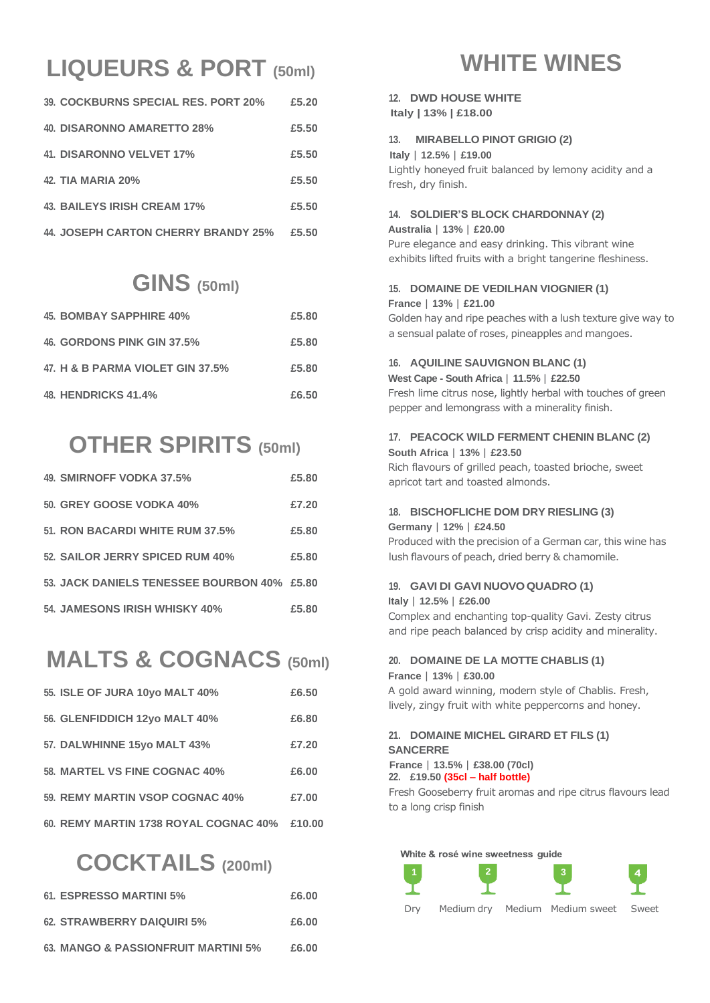# **LIQUEURS & PORT (50ml)**

| 39. COCKBURNS SPECIAL RES. PORT 20% | £5.20 |
|-------------------------------------|-------|
| 40. DISARONNO AMARETTO 28%          | £5.50 |
| 41. DISARONNO VELVET 17%            | £5.50 |
| 42. TIA MARIA 20%                   | £5.50 |
| <b>43. BAILEYS IRISH CREAM 17%</b>  | £5.50 |
| 44. JOSEPH CARTON CHERRY BRANDY 25% | £5.50 |

### **GINS (50ml)**

| 45. BOMBAY SAPPHIRE 40%          | £5.80 |
|----------------------------------|-------|
| 46. GORDONS PINK GIN 37.5%       | £5.80 |
| 47. H & B PARMA VIOLET GIN 37.5% | £5.80 |
| <b>48. HENDRICKS 41.4%</b>       | £6.50 |

### **OTHER SPIRITS (50ml)**

| 49. SMIRNOFF VODKA 37.5%                    | £5.80 |
|---------------------------------------------|-------|
| 50. GREY GOOSE VODKA 40%                    | £7.20 |
| 51. RON BACARDI WHITE RUM 37.5%             | £5.80 |
| 52. SAILOR JERRY SPICED RUM 40%             | £5.80 |
| 53. JACK DANIELS TENESSEE BOURBON 40% £5.80 |       |
| 54. JAMESONS IRISH WHISKY 40%               | £5.80 |

# **MALTS & COGNACS (50ml)**

| <b>55. ISLE OF JURA 10yo MALT 40%</b> | £6.50  |
|---------------------------------------|--------|
| 56. GLENFIDDICH 12yo MALT 40%         | £6.80  |
| 57. DALWHINNE 15yo MALT 43%           | £7.20  |
| <b>58. MARTEL VS FINE COGNAC 40%</b>  | £6.00  |
| 59. REMY MARTIN VSOP COGNAC 40%       | £7.00  |
| 60. REMY MARTIN 1738 ROYAL COGNAC 40% | £10.00 |

## **COCKTAILS (200ml)**

| 61. ESPRESSO MARTINI 5%             | £6.00 |
|-------------------------------------|-------|
| 62. STRAWBERRY DAIQUIRI 5%          | £6.00 |
| 63. MANGO & PASSIONFRUIT MARTINI 5% | £6.00 |

### **WHITE WINES**

#### **12. DWD HOUSE WHITE Italy | 13% | £18.00**

#### **13. MIRABELLO PINOT GRIGIO (2)**

 **Italy** | **12.5%** | **£19.00** Lightly honeyed fruit balanced by lemony acidity and a fresh, dry finish.

#### **14. SOLDIER'S BLOCK CHARDONNAY (2)**

#### **Australia** | **13%** | **£20.00** Pure elegance and easy drinking. This vibrant wine exhibits lifted fruits with a bright tangerine fleshiness.

#### **15. DOMAINE DE VEDILHAN VIOGNIER (1)**

#### **France** | **13%** | **£21.00**

Golden hay and ripe peaches with a lush texture give way to a sensual palate of roses, pineapples and mangoes.

#### **16. AQUILINE SAUVIGNON BLANC (1)**

**West Cape - South Africa** | **11.5%** | **£22.50** Fresh lime citrus nose, lightly herbal with touches of green pepper and lemongrass with a minerality finish.

#### **17. PEACOCK WILD FERMENT CHENIN BLANC (2)**

**South Africa** | **13%** | **£23.50** Rich flavours of grilled peach, toasted brioche, sweet apricot tart and toasted almonds.

#### **18. BISCHOFLICHE DOM DRY RIESLING (3) Germany** | **12%** | **£24.50**

Produced with the precision of a German car, this wine has lush flavours of peach, dried berry & chamomile.

### **19. GAVI DI GAVI NUOVOQUADRO (1)**

#### **Italy** | **12.5%** | **£26.00**

Complex and enchanting top-quality Gavi. Zesty citrus and ripe peach balanced by crisp acidity and minerality.

#### **20. DOMAINE DE LA MOTTE CHABLIS (1) France** | **13%** | **£30.00** A gold award winning, modern style of Chablis. Fresh,

lively, zingy fruit with white peppercorns and honey.

#### **21. DOMAINE MICHEL GIRARD ET FILS (1) SANCERRE**

 **France** | **13.5%** | **£38.00 (70cl) 22. £19.50 (35cl – half bottle)**

Fresh Gooseberry fruit aromas and ripe citrus flavours lead to a long crisp finish

#### White & rosé wine sweetness guide